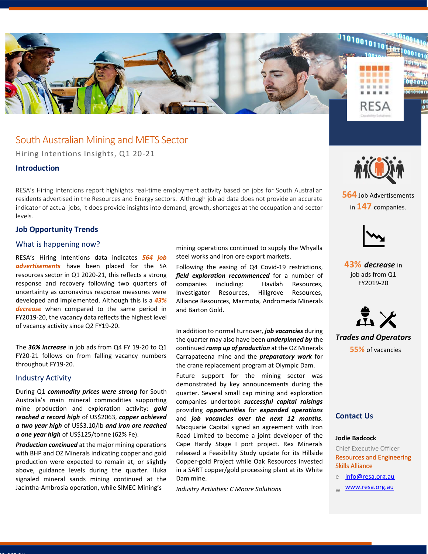

## South Australian Mining and METS Sector

Hiring Intentions Insights, Q1 20-21

### **Introduction**

RESA's Hiring Intentions report highlights real-time employment activity based on jobs for South Australian residents advertised in the Resources and Energy sectors. Although job ad data does not provide an accurate indicator of actual jobs, it does provide insights into demand, growth, shortages at the occupation and sector levels.

### **Job Opportunity Trends**

### What is happening now?

RESA's Hiring Intentions data indicates *564 job advertisements* have been placed for the SA resources sector in Q1 2020-21, this reflects a strong response and recovery following two quarters of uncertainty as coronavirus response measures were developed and implemented. Although this is a *43% decrease* when compared to the same period in FY2019-20, the vacancy data reflects the highest level of vacancy activity since Q2 FY19-20.

The *36% increase* in job ads from Q4 FY 19-20 to Q1 FY20-21 follows on from falling vacancy numbers throughout FY19-20.

#### Industry Activity

Resa.org.au

During Q1 *commodity prices were strong* for South Australia's main mineral commodities supporting mine production and exploration activity: *gold reached a record high* of US\$2063, *copper achieved a two year high* of US\$3.10/lb *and iron ore reached a one year high* of US\$125/tonne (62% Fe).

*Production continued* at the major mining operations with BHP and OZ Minerals indicating copper and gold production were expected to remain at, or slightly above, guidance levels during the quarter. Iluka signaled mineral sands mining continued at the Jacintha-Ambrosia operation, while SIMEC Mining's

mining operations continued to supply the Whyalla steel works and iron ore export markets.

Following the easing of Q4 Covid-19 restrictions, *field exploration recommenced* for a number of companies including: Havilah Resources, Investigator Resources, Hillgrove Resources, Alliance Resources, Marmota, Andromeda Minerals and Barton Gold.

In addition to normal turnover, *job vacancies* during the quarter may also have been *underpinned by* the continued *ramp up of production* at the OZ Minerals Carrapateena mine and the *preparatory work* for the crane replacement program at Olympic Dam.

Future support for the mining sector was demonstrated by key announcements during the quarter. Several small cap mining and exploration companies undertook *successful capital raisings* providing *opportunities* for *expanded operations* and *job vacancies over the next 12 months*. Macquarie Capital signed an agreement with Iron Road Limited to become a joint developer of the Cape Hardy Stage I port project. Rex Minerals released a Feasibility Study update for its Hillside Copper-gold Project while Oak Resources invested in a SART copper/gold processing plant at its White Dam mine.

*Industry Activities: C Moore Solutions* 



**564** Job Advertisements in **147** companies.



**43%** *decrease* in job ads from Q1 FY2019-20



*Trades and Operators* **55%** of vacancies

### **Contact Us**

### **Jodie Badcock**

Chief Executive Officer Resources and Engineering Skills Alliance

- [info@resa.org.au](mailto:info@resa.org.au)
- [www.resa.org.au](http://www.resa.org.au/)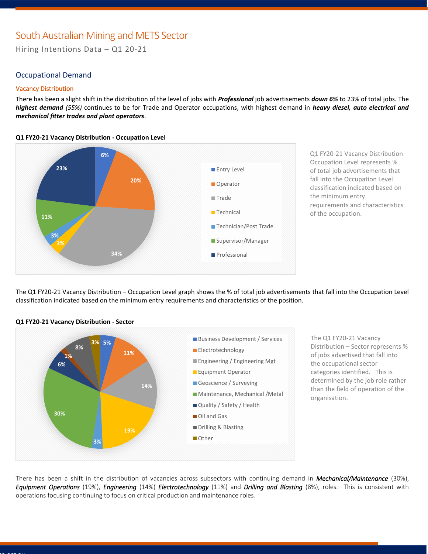# South Australian Mining and METS Sector

Hiring Intentions Data – Q1 20-21

### Occupational Demand

#### Vacancy Distribution

There has been a slight shift in the distribution of the level of jobs with *Professional* job advertisements *down 6%* to 23% of total jobs. The *highest demand (55%)* continues to be for Trade and Operator occupations, with highest demand in *heavy diesel, auto electrical and mechanical fitter trades and plant operators*.

**Q1 FY20-21 Vacancy Distribution - Occupation Level**



Q1 FY20-21 Vacancy Distribution Occupation Level represents % of total job advertisements that fall into the Occupation Level classification indicated based on the minimum entry requirements and characteristics of the occupation.

The Q1 FY20-21 Vacancy Distribution – Occupation Level graph shows the % of total job advertisements that fall into the Occupation Level classification indicated based on the minimum entry requirements and characteristics of the position.



**Q1 FY20-21 Vacancy Distribution - Sector**

The Q1 FY20-21 Vacancy Distribution – Sector represents % of jobs advertised that fall into the occupational sector categories identified. This is determined by the job role rather than the field of operation of the organisation.

There has been a shift in the distribution of vacancies across subsectors with continuing demand in *Mechanical/Maintenance* (30%), *Equipment Operations* (19%), *Engineering* (14%) *Electrotechnology* (11%) and *Drilling and Blasting* (8%), roles. This is consistent with operations focusing continuing to focus on critical production and maintenance roles.